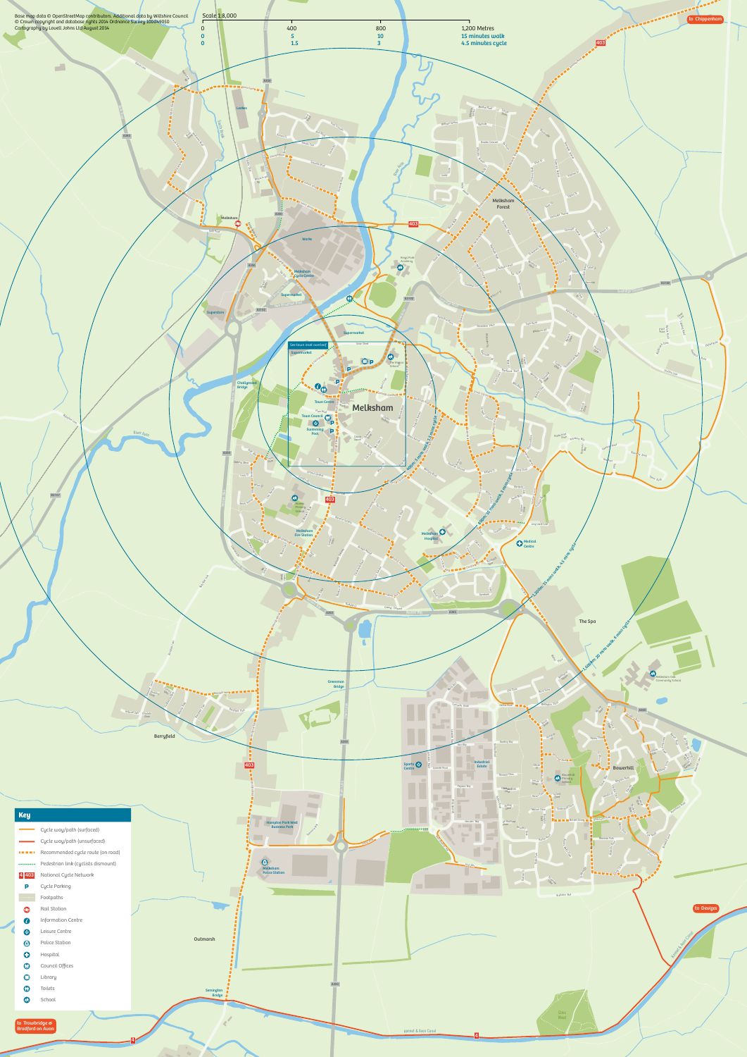